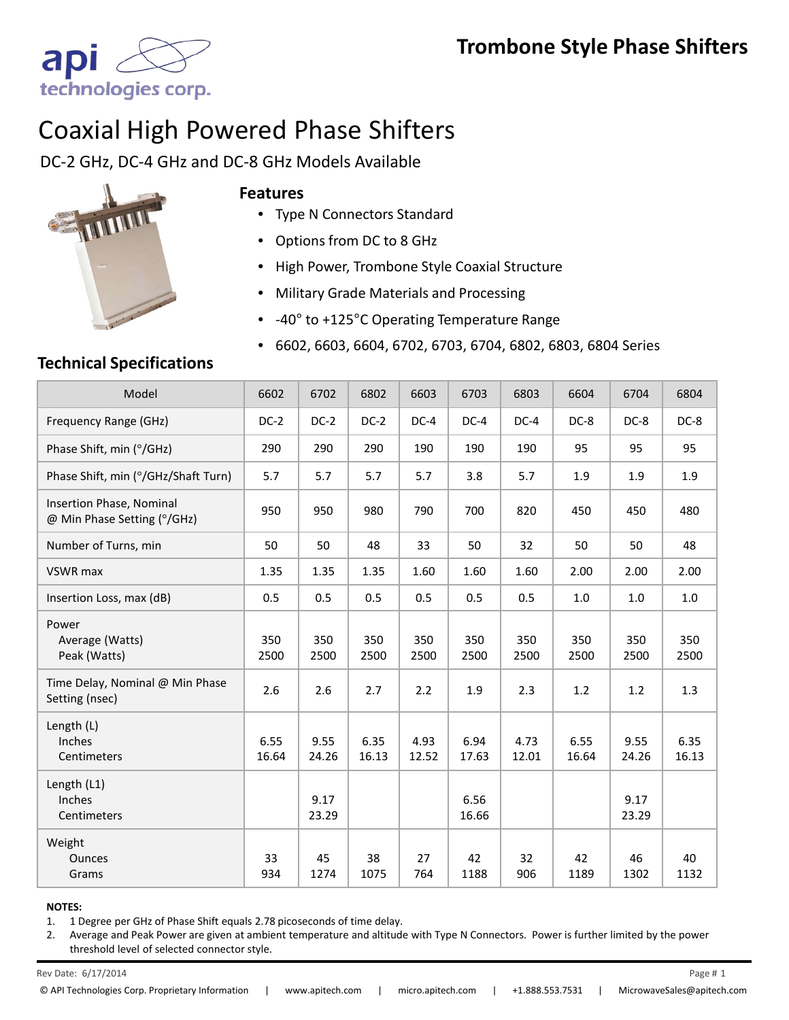

# Coaxial High Powered Phase Shifters

DC-2 GHz, DC-4 GHz and DC-8 GHz Models Available



#### **Features**

- Type N Connectors Standard
- Options from DC to 8 GHz
- High Power, Trombone Style Coaxial Structure
- Military Grade Materials and Processing
- -40° to +125°C Operating Temperature Range
- 6602, 6603, 6604, 6702, 6703, 6704, 6802, 6803, 6804 Series

### **Technical Specifications**

| Model                                                   | 6602          | 6702          | 6802          | 6603          | 6703          | 6803          | 6604          | 6704          | 6804          |
|---------------------------------------------------------|---------------|---------------|---------------|---------------|---------------|---------------|---------------|---------------|---------------|
| Frequency Range (GHz)                                   | $DC-2$        | $DC-2$        | $DC-2$        | $DC-4$        | $DC-4$        | $DC-4$        | DC-8          | DC-8          | DC-8          |
| Phase Shift, min (°/GHz)                                | 290           | 290           | 290           | 190           | 190           | 190           | 95            | 95            | 95            |
| Phase Shift, min (°/GHz/Shaft Turn)                     | 5.7           | 5.7           | 5.7           | 5.7           | 3.8           | 5.7           | 1.9           | 1.9           | 1.9           |
| Insertion Phase, Nominal<br>@ Min Phase Setting (°/GHz) | 950           | 950           | 980           | 790           | 700           | 820           | 450           | 450           | 480           |
| Number of Turns, min                                    | 50            | 50            | 48            | 33            | 50            | 32            | 50            | 50            | 48            |
| VSWR max                                                | 1.35          | 1.35          | 1.35          | 1.60          | 1.60          | 1.60          | 2.00          | 2.00          | 2.00          |
| Insertion Loss, max (dB)                                | 0.5           | 0.5           | 0.5           | 0.5           | 0.5           | 0.5           | 1.0           | 1.0           | 1.0           |
| Power<br>Average (Watts)<br>Peak (Watts)                | 350<br>2500   | 350<br>2500   | 350<br>2500   | 350<br>2500   | 350<br>2500   | 350<br>2500   | 350<br>2500   | 350<br>2500   | 350<br>2500   |
| Time Delay, Nominal @ Min Phase<br>Setting (nsec)       | 2.6           | 2.6           | 2.7           | 2.2           | 1.9           | 2.3           | 1.2           | 1.2           | 1.3           |
| Length (L)<br>Inches<br>Centimeters                     | 6.55<br>16.64 | 9.55<br>24.26 | 6.35<br>16.13 | 4.93<br>12.52 | 6.94<br>17.63 | 4.73<br>12.01 | 6.55<br>16.64 | 9.55<br>24.26 | 6.35<br>16.13 |
| Length (L1)<br>Inches<br>Centimeters                    |               | 9.17<br>23.29 |               |               | 6.56<br>16.66 |               |               | 9.17<br>23.29 |               |
| Weight<br><b>Ounces</b><br>Grams                        | 33<br>934     | 45<br>1274    | 38<br>1075    | 27<br>764     | 42<br>1188    | 32<br>906     | 42<br>1189    | 46<br>1302    | 40<br>1132    |

#### **NOTES:**

1. 1 Degree per GHz of Phase Shift equals 2.78 picoseconds of time delay.

2. Average and Peak Power are given at ambient temperature and altitude with Type N Connectors. Power is further limited by the power threshold level of selected connector style.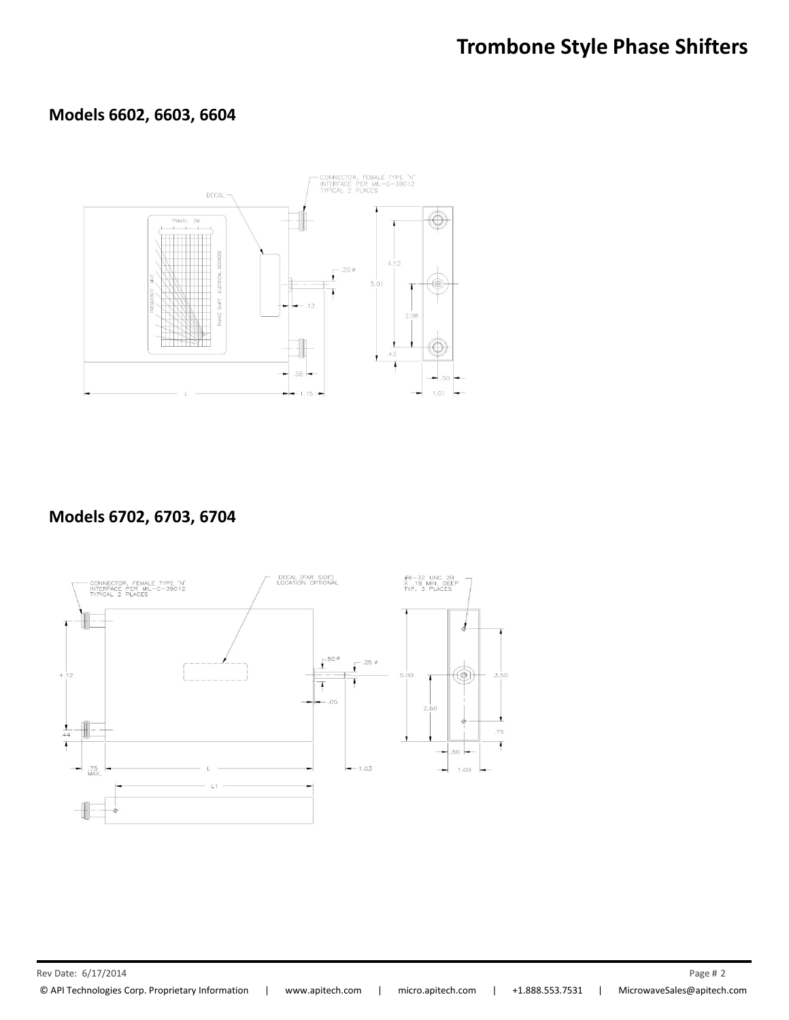## **Trombone Style Phase Shifters**

## **Models 6602, 6603, 6604**



#### **Models 6702, 6703, 6704**